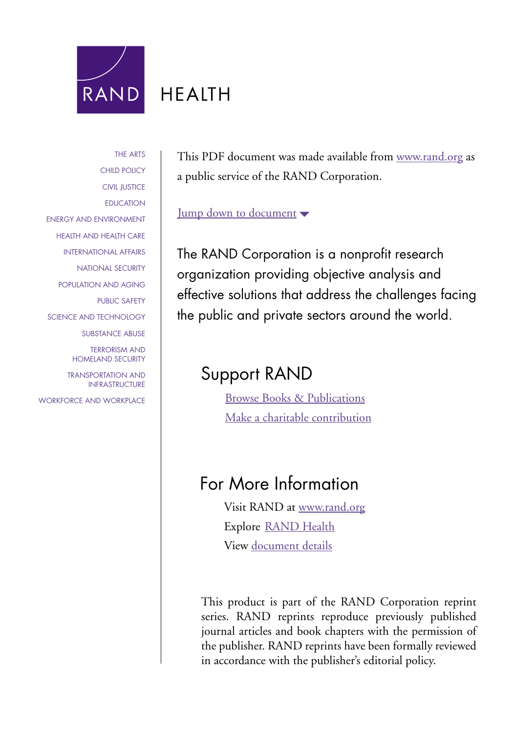

# **HFAITH**

[THE ARTS](http://www.rand.org/pdfrd/research_areas/arts/) [CHILD POLICY](http://www.rand.org/pdfrd/research_areas/children/) [CIVIL JUSTICE](http://www.rand.org/pdfrd/research_areas/civil_justice/) [EDUCATION](http://www.rand.org/pdfrd/research_areas/education/) [ENERGY AND ENVIRONMENT](http://www.rand.org/pdfrd/research_areas/energy_environment/) [HEALTH AND HEALTH CARE](http://www.rand.org/pdfrd/research_areas/health/) [INTERNATIONAL AFFAIRS](http://www.rand.org/pdfrd/research_areas/international_affairs/) [NATIONAL SECURITY](http://www.rand.org/pdfrd/research_areas/national_security/) [POPULATION AND AGING](http://www.rand.org/pdfrd/research_areas/population/) [PUBLIC SAFETY](http://www.rand.org/pdfrd/research_areas/public_safety/) [SCIENCE AND TECHNOLOGY](http://www.rand.org/pdfrd/research_areas/science_technology/) [SUBSTANCE ABUSE](http://www.rand.org/pdfrd/research_areas/substance_abuse/) [TERRORISM AND](http://www.rand.org/pdfrd/research_areas/terrorism/)  [HOMELAND SECURITY](http://www.rand.org/pdfrd/research_areas/terrorism/) [TRANSPORTATION AND](http://www.rand.org/pdfrd/research_areas/infrastructure/) [INFRASTRUCTURE](http://www.rand.org/pdfrd/research_areas/infrastructure/)

[WORKFORCE AND](http://www.rand.org/pdfrd/research_areas/workforce/) WORKPLACE

This PDF document was made available from [www.rand.org](http://www.rand.org/pdfrd/) as a public service of the RAND Corporation.

[Jump down to document](#page-1-0)  $\blacktriangledown$ 

The RAND Corporation is a nonprofit research organization providing objective analysis and effective solutions that address the challenges facing the public and private sectors around the world.

## Support RAND

[Browse Books & Publications](http://www.rand.org/pdfrd/publications/electronic/) [Make a charitable contribution](http://www.rand.org/pdfrd/giving/contribute.html)

## For More Information

Visit RAND at [www.rand.org](http://www.rand.org/pdfrd/) Explore [RAND Health](http://www.rand.org/pdfrd/health/) View [document details](http://www.rand.org/pdfrd/publications/RP/RP1175/)

This product is part of the RAND Corporation reprint series. RAND reprints reproduce previously published journal articles and book chapters with the permission of the publisher. RAND reprints have been formally reviewed in accordance with the publisher's editorial policy.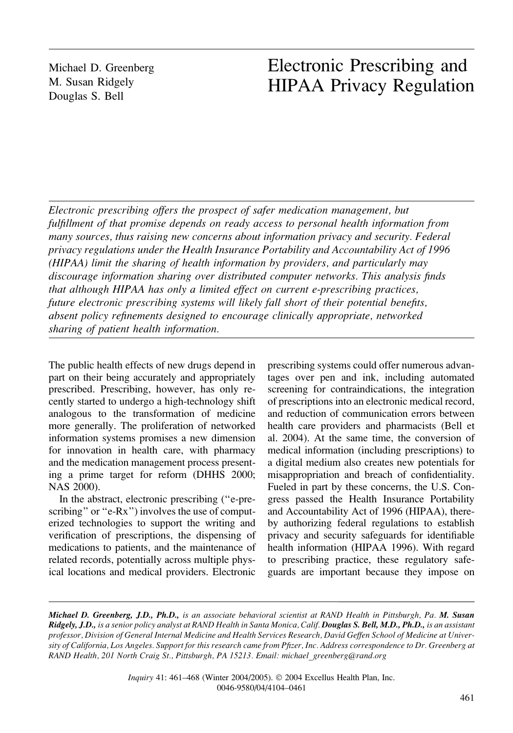<span id="page-1-0"></span>Michael D. Greenberg M. Susan Ridgely Douglas S. Bell

### Electronic Prescribing and HIPAA Privacy Regulation

Electronic prescribing offers the prospect of safer medication management, but fulfillment of that promise depends on ready access to personal health information from many sources, thus raising new concerns about information privacy and security. Federal privacy regulations under the Health Insurance Portability and Accountability Act of 1996 (HIPAA) limit the sharing of health information by providers, and particularly may discourage information sharing over distributed computer networks. This analysis finds that although HIPAA has only a limited effect on current e-prescribing practices, future electronic prescribing systems will likely fall short of their potential benefits, absent policy refinements designed to encourage clinically appropriate, networked sharing of patient health information.

The public health effects of new drugs depend in part on their being accurately and appropriately prescribed. Prescribing, however, has only recently started to undergo a high-technology shift analogous to the transformation of medicine more generally. The proliferation of networked information systems promises a new dimension for innovation in health care, with pharmacy and the medication management process presenting a prime target for reform (DHHS 2000; NAS 2000).

In the abstract, electronic prescribing (''e-prescribing" or "e-Rx") involves the use of computerized technologies to support the writing and verification of prescriptions, the dispensing of medications to patients, and the maintenance of related records, potentially across multiple physical locations and medical providers. Electronic

prescribing systems could offer numerous advantages over pen and ink, including automated screening for contraindications, the integration of prescriptions into an electronic medical record, and reduction of communication errors between health care providers and pharmacists (Bell et al. 2004). At the same time, the conversion of medical information (including prescriptions) to a digital medium also creates new potentials for misappropriation and breach of confidentiality. Fueled in part by these concerns, the U.S. Congress passed the Health Insurance Portability and Accountability Act of 1996 (HIPAA), thereby authorizing federal regulations to establish privacy and security safeguards for identifiable health information (HIPAA 1996). With regard to prescribing practice, these regulatory safeguards are important because they impose on

Michael D. Greenberg, J.D., Ph.D., is an associate behavioral scientist at RAND Health in Pittsburgh, Pa. M. Susan Ridgely, J.D., is a senior policy analyst at RAND Health in Santa Monica, Calif. Douglas S. Bell, M.D., Ph.D., is an assistant professor, Division of General Internal Medicine and Health Services Research, David Geffen School of Medicine at University of California, Los Angeles. Support for this research came from Pfizer, Inc. Address correspondence to Dr. Greenberg at RAND Health, 201 North Craig St., Pittsburgh, PA 15213. Email: michael\_greenberg@rand.org

> Inquiry 41: 461-468 (Winter 2004/2005). © 2004 Excellus Health Plan, Inc. 0046-9580/04/4104–0461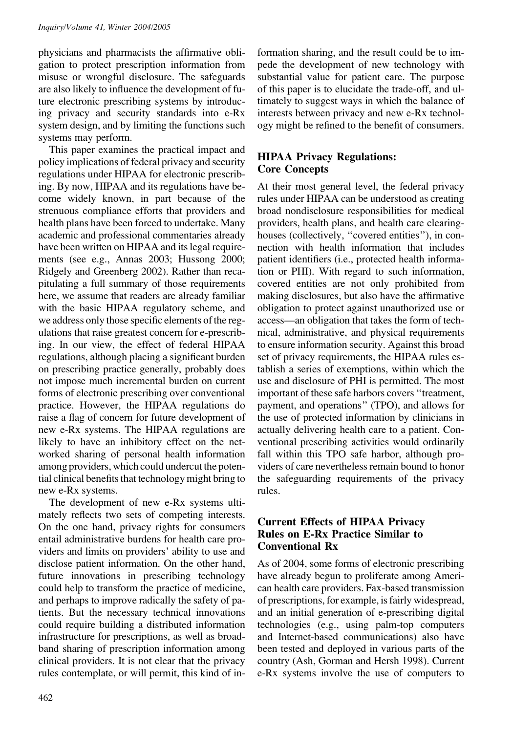physicians and pharmacists the affirmative obligation to protect prescription information from misuse or wrongful disclosure. The safeguards are also likely to influence the development of future electronic prescribing systems by introducing privacy and security standards into e-Rx system design, and by limiting the functions such systems may perform.

This paper examines the practical impact and policy implications of federal privacy and security regulations under HIPAA for electronic prescribing. By now, HIPAA and its regulations have become widely known, in part because of the strenuous compliance efforts that providers and health plans have been forced to undertake. Many academic and professional commentaries already have been written on HIPAA and its legal requirements (see e.g., Annas 2003; Hussong 2000; Ridgely and Greenberg 2002). Rather than recapitulating a full summary of those requirements here, we assume that readers are already familiar with the basic HIPAA regulatory scheme, and we address only those specific elements of the regulations that raise greatest concern for e-prescribing. In our view, the effect of federal HIPAA regulations, although placing a significant burden on prescribing practice generally, probably does not impose much incremental burden on current forms of electronic prescribing over conventional practice. However, the HIPAA regulations do raise a flag of concern for future development of new e-Rx systems. The HIPAA regulations are likely to have an inhibitory effect on the networked sharing of personal health information among providers, which could undercut the potential clinical benefits that technology might bring to new e-Rx systems.

The development of new e-Rx systems ultimately reflects two sets of competing interests. On the one hand, privacy rights for consumers entail administrative burdens for health care providers and limits on providers' ability to use and disclose patient information. On the other hand, future innovations in prescribing technology could help to transform the practice of medicine, and perhaps to improve radically the safety of patients. But the necessary technical innovations could require building a distributed information infrastructure for prescriptions, as well as broadband sharing of prescription information among clinical providers. It is not clear that the privacy rules contemplate, or will permit, this kind of information sharing, and the result could be to impede the development of new technology with substantial value for patient care. The purpose of this paper is to elucidate the trade-off, and ultimately to suggest ways in which the balance of interests between privacy and new e-Rx technology might be refined to the benefit of consumers.

### HIPAA Privacy Regulations: Core Concepts

At their most general level, the federal privacy rules under HIPAA can be understood as creating broad nondisclosure responsibilities for medical providers, health plans, and health care clearinghouses (collectively, "covered entities"), in connection with health information that includes patient identifiers (i.e., protected health information or PHI). With regard to such information, covered entities are not only prohibited from making disclosures, but also have the affirmative obligation to protect against unauthorized use or access—an obligation that takes the form of technical, administrative, and physical requirements to ensure information security. Against this broad set of privacy requirements, the HIPAA rules establish a series of exemptions, within which the use and disclosure of PHI is permitted. The most important of these safe harbors covers ''treatment, payment, and operations'' (TPO), and allows for the use of protected information by clinicians in actually delivering health care to a patient. Conventional prescribing activities would ordinarily fall within this TPO safe harbor, although providers of care nevertheless remain bound to honor the safeguarding requirements of the privacy rules.

### Current Effects of HIPAA Privacy Rules on E-Rx Practice Similar to Conventional Rx

As of 2004, some forms of electronic prescribing have already begun to proliferate among American health care providers. Fax-based transmission of prescriptions, for example, is fairly widespread, and an initial generation of e-prescribing digital technologies (e.g., using palm-top computers and Internet-based communications) also have been tested and deployed in various parts of the country (Ash, Gorman and Hersh 1998). Current e-Rx systems involve the use of computers to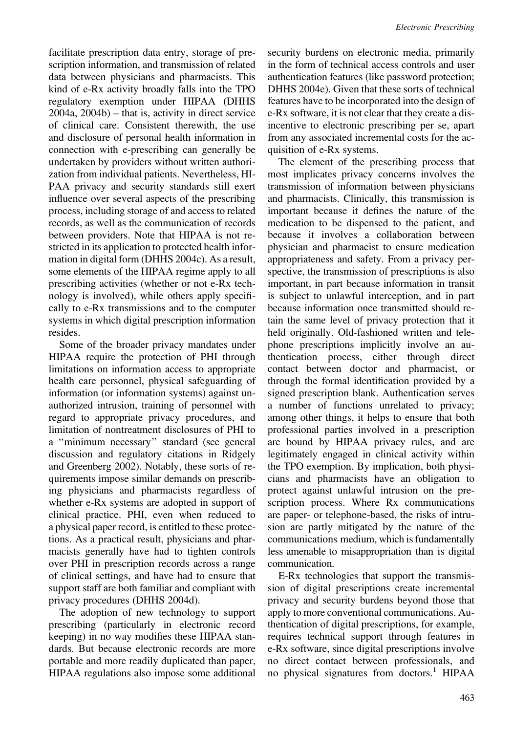facilitate prescription data entry, storage of prescription information, and transmission of related data between physicians and pharmacists. This kind of e-Rx activity broadly falls into the TPO regulatory exemption under HIPAA (DHHS 2004a, 2004b) – that is, activity in direct service of clinical care. Consistent therewith, the use and disclosure of personal health information in

connection with e-prescribing can generally be undertaken by providers without written authorization from individual patients. Nevertheless, HI-PAA privacy and security standards still exert influence over several aspects of the prescribing process, including storage of and access to related records, as well as the communication of records between providers. Note that HIPAA is not restricted in its application to protected health information in digital form (DHHS 2004c). As a result, some elements of the HIPAA regime apply to all prescribing activities (whether or not e-Rx technology is involved), while others apply specifically to e-Rx transmissions and to the computer systems in which digital prescription information resides.

Some of the broader privacy mandates under HIPAA require the protection of PHI through limitations on information access to appropriate health care personnel, physical safeguarding of information (or information systems) against unauthorized intrusion, training of personnel with regard to appropriate privacy procedures, and limitation of nontreatment disclosures of PHI to a ''minimum necessary'' standard (see general discussion and regulatory citations in Ridgely and Greenberg 2002). Notably, these sorts of requirements impose similar demands on prescribing physicians and pharmacists regardless of whether e-Rx systems are adopted in support of clinical practice. PHI, even when reduced to a physical paper record, is entitled to these protections. As a practical result, physicians and pharmacists generally have had to tighten controls over PHI in prescription records across a range of clinical settings, and have had to ensure that support staff are both familiar and compliant with privacy procedures (DHHS 2004d).

The adoption of new technology to support prescribing (particularly in electronic record keeping) in no way modifies these HIPAA standards. But because electronic records are more portable and more readily duplicated than paper, HIPAA regulations also impose some additional

security burdens on electronic media, primarily in the form of technical access controls and user authentication features (like password protection; DHHS 2004e). Given that these sorts of technical features have to be incorporated into the design of e-Rx software, it is not clear that they create a disincentive to electronic prescribing per se, apart from any associated incremental costs for the acquisition of e-Rx systems.

The element of the prescribing process that most implicates privacy concerns involves the transmission of information between physicians and pharmacists. Clinically, this transmission is important because it defines the nature of the medication to be dispensed to the patient, and because it involves a collaboration between physician and pharmacist to ensure medication appropriateness and safety. From a privacy perspective, the transmission of prescriptions is also important, in part because information in transit is subject to unlawful interception, and in part because information once transmitted should retain the same level of privacy protection that it held originally. Old-fashioned written and telephone prescriptions implicitly involve an authentication process, either through direct contact between doctor and pharmacist, or through the formal identification provided by a signed prescription blank. Authentication serves a number of functions unrelated to privacy; among other things, it helps to ensure that both professional parties involved in a prescription are bound by HIPAA privacy rules, and are legitimately engaged in clinical activity within the TPO exemption. By implication, both physicians and pharmacists have an obligation to protect against unlawful intrusion on the prescription process. Where Rx communications are paper- or telephone-based, the risks of intrusion are partly mitigated by the nature of the communications medium, which is fundamentally less amenable to misappropriation than is digital communication.

E-Rx technologies that support the transmission of digital prescriptions create incremental privacy and security burdens beyond those that apply to more conventional communications. Authentication of digital prescriptions, for example, requires technical support through features in e-Rx software, since digital prescriptions involve no direct contact between professionals, and no physical signatures from doctors.<sup>1</sup> HIPAA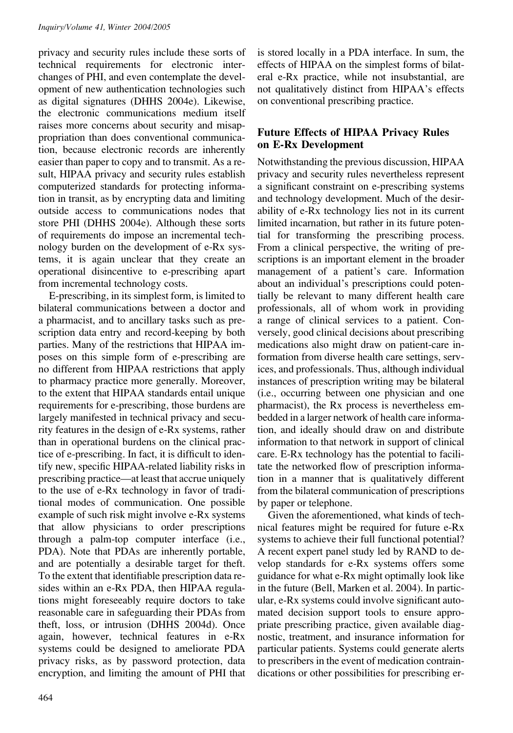privacy and security rules include these sorts of technical requirements for electronic interchanges of PHI, and even contemplate the development of new authentication technologies such as digital signatures (DHHS 2004e). Likewise, the electronic communications medium itself raises more concerns about security and misappropriation than does conventional communication, because electronic records are inherently easier than paper to copy and to transmit. As a result, HIPAA privacy and security rules establish computerized standards for protecting information in transit, as by encrypting data and limiting outside access to communications nodes that store PHI (DHHS 2004e). Although these sorts of requirements do impose an incremental technology burden on the development of e-Rx systems, it is again unclear that they create an operational disincentive to e-prescribing apart from incremental technology costs.

E-prescribing, in its simplest form, is limited to bilateral communications between a doctor and a pharmacist, and to ancillary tasks such as prescription data entry and record-keeping by both parties. Many of the restrictions that HIPAA imposes on this simple form of e-prescribing are no different from HIPAA restrictions that apply to pharmacy practice more generally. Moreover, to the extent that HIPAA standards entail unique requirements for e-prescribing, those burdens are largely manifested in technical privacy and security features in the design of e-Rx systems, rather than in operational burdens on the clinical practice of e-prescribing. In fact, it is difficult to identify new, specific HIPAA-related liability risks in prescribing practice—at least that accrue uniquely to the use of e-Rx technology in favor of traditional modes of communication. One possible example of such risk might involve e-Rx systems that allow physicians to order prescriptions through a palm-top computer interface (i.e., PDA). Note that PDAs are inherently portable, and are potentially a desirable target for theft. To the extent that identifiable prescription data resides within an e-Rx PDA, then HIPAA regulations might foreseeably require doctors to take reasonable care in safeguarding their PDAs from theft, loss, or intrusion (DHHS 2004d). Once again, however, technical features in e-Rx systems could be designed to ameliorate PDA privacy risks, as by password protection, data encryption, and limiting the amount of PHI that

464

is stored locally in a PDA interface. In sum, the effects of HIPAA on the simplest forms of bilateral e-Rx practice, while not insubstantial, are not qualitatively distinct from HIPAA's effects on conventional prescribing practice.

#### Future Effects of HIPAA Privacy Rules on E-Rx Development

Notwithstanding the previous discussion, HIPAA privacy and security rules nevertheless represent a significant constraint on e-prescribing systems and technology development. Much of the desirability of e-Rx technology lies not in its current limited incarnation, but rather in its future potential for transforming the prescribing process. From a clinical perspective, the writing of prescriptions is an important element in the broader management of a patient's care. Information about an individual's prescriptions could potentially be relevant to many different health care professionals, all of whom work in providing a range of clinical services to a patient. Conversely, good clinical decisions about prescribing medications also might draw on patient-care information from diverse health care settings, services, and professionals. Thus, although individual instances of prescription writing may be bilateral (i.e., occurring between one physician and one pharmacist), the Rx process is nevertheless embedded in a larger network of health care information, and ideally should draw on and distribute information to that network in support of clinical care. E-Rx technology has the potential to facilitate the networked flow of prescription information in a manner that is qualitatively different from the bilateral communication of prescriptions by paper or telephone.

Given the aforementioned, what kinds of technical features might be required for future e-Rx systems to achieve their full functional potential? A recent expert panel study led by RAND to develop standards for e-Rx systems offers some guidance for what e-Rx might optimally look like in the future (Bell, Marken et al. 2004). In particular, e-Rx systems could involve significant automated decision support tools to ensure appropriate prescribing practice, given available diagnostic, treatment, and insurance information for particular patients. Systems could generate alerts to prescribers in the event of medication contraindications or other possibilities for prescribing er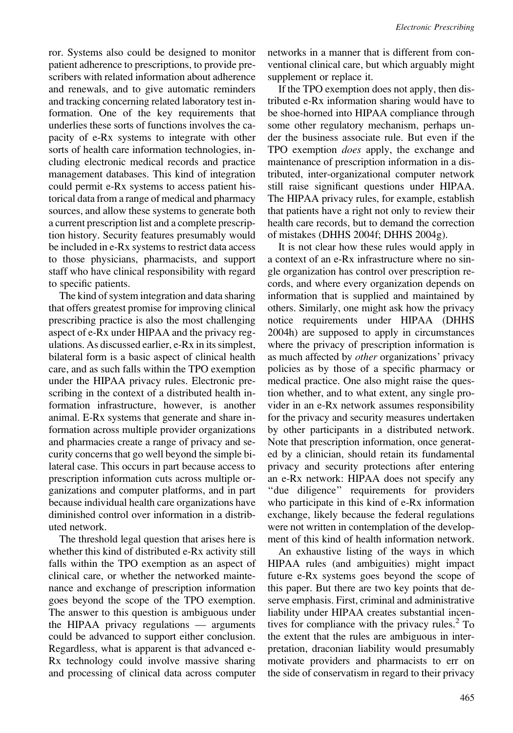ror. Systems also could be designed to monitor patient adherence to prescriptions, to provide prescribers with related information about adherence and renewals, and to give automatic reminders and tracking concerning related laboratory test information. One of the key requirements that underlies these sorts of functions involves the capacity of e-Rx systems to integrate with other sorts of health care information technologies, including electronic medical records and practice management databases. This kind of integration could permit e-Rx systems to access patient historical data from a range of medical and pharmacy sources, and allow these systems to generate both a current prescription list and a complete prescription history. Security features presumably would be included in e-Rx systems to restrict data access to those physicians, pharmacists, and support staff who have clinical responsibility with regard to specific patients.

The kind of system integration and data sharing that offers greatest promise for improving clinical prescribing practice is also the most challenging aspect of e-Rx under HIPAA and the privacy regulations. As discussed earlier, e-Rx in its simplest, bilateral form is a basic aspect of clinical health care, and as such falls within the TPO exemption under the HIPAA privacy rules. Electronic prescribing in the context of a distributed health information infrastructure, however, is another animal. E-Rx systems that generate and share information across multiple provider organizations and pharmacies create a range of privacy and security concerns that go well beyond the simple bilateral case. This occurs in part because access to prescription information cuts across multiple organizations and computer platforms, and in part because individual health care organizations have diminished control over information in a distributed network.

The threshold legal question that arises here is whether this kind of distributed e-Rx activity still falls within the TPO exemption as an aspect of clinical care, or whether the networked maintenance and exchange of prescription information goes beyond the scope of the TPO exemption. The answer to this question is ambiguous under the HIPAA privacy regulations — arguments could be advanced to support either conclusion. Regardless, what is apparent is that advanced e-Rx technology could involve massive sharing and processing of clinical data across computer networks in a manner that is different from conventional clinical care, but which arguably might supplement or replace it.

If the TPO exemption does not apply, then distributed e-Rx information sharing would have to be shoe-horned into HIPAA compliance through some other regulatory mechanism, perhaps under the business associate rule. But even if the TPO exemption does apply, the exchange and maintenance of prescription information in a distributed, inter-organizational computer network still raise significant questions under HIPAA. The HIPAA privacy rules, for example, establish that patients have a right not only to review their health care records, but to demand the correction of mistakes (DHHS 2004f; DHHS 2004g).

It is not clear how these rules would apply in a context of an e-Rx infrastructure where no single organization has control over prescription records, and where every organization depends on information that is supplied and maintained by others. Similarly, one might ask how the privacy notice requirements under HIPAA (DHHS 2004h) are supposed to apply in circumstances where the privacy of prescription information is as much affected by other organizations' privacy policies as by those of a specific pharmacy or medical practice. One also might raise the question whether, and to what extent, any single provider in an e-Rx network assumes responsibility for the privacy and security measures undertaken by other participants in a distributed network. Note that prescription information, once generated by a clinician, should retain its fundamental privacy and security protections after entering an e-Rx network: HIPAA does not specify any ''due diligence'' requirements for providers who participate in this kind of e-Rx information exchange, likely because the federal regulations were not written in contemplation of the development of this kind of health information network.

An exhaustive listing of the ways in which HIPAA rules (and ambiguities) might impact future e-Rx systems goes beyond the scope of this paper. But there are two key points that deserve emphasis. First, criminal and administrative liability under HIPAA creates substantial incentives for compliance with the privacy rules. $2^{\circ}$  To the extent that the rules are ambiguous in interpretation, draconian liability would presumably motivate providers and pharmacists to err on the side of conservatism in regard to their privacy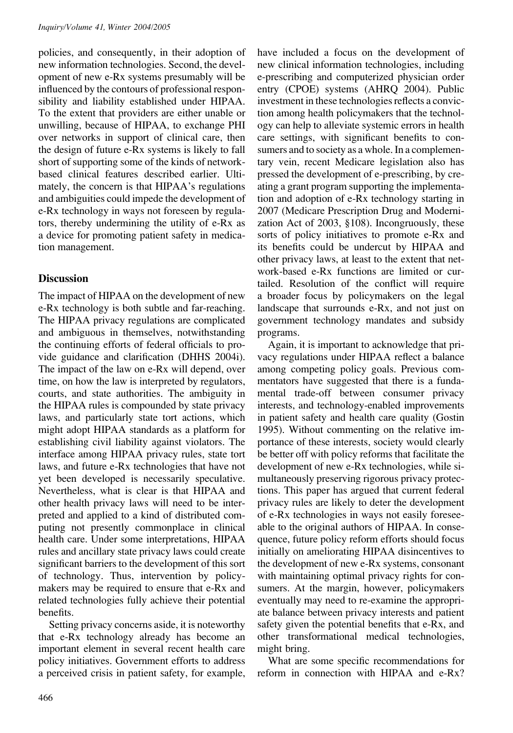policies, and consequently, in their adoption of new information technologies. Second, the development of new e-Rx systems presumably will be influenced by the contours of professional responsibility and liability established under HIPAA. To the extent that providers are either unable or unwilling, because of HIPAA, to exchange PHI over networks in support of clinical care, then the design of future e-Rx systems is likely to fall short of supporting some of the kinds of networkbased clinical features described earlier. Ultimately, the concern is that HIPAA's regulations and ambiguities could impede the development of e-Rx technology in ways not foreseen by regulators, thereby undermining the utility of e-Rx as a device for promoting patient safety in medication management.

#### **Discussion**

The impact of HIPAA on the development of new e-Rx technology is both subtle and far-reaching. The HIPAA privacy regulations are complicated and ambiguous in themselves, notwithstanding the continuing efforts of federal officials to provide guidance and clarification (DHHS 2004i). The impact of the law on e-Rx will depend, over time, on how the law is interpreted by regulators, courts, and state authorities. The ambiguity in the HIPAA rules is compounded by state privacy laws, and particularly state tort actions, which might adopt HIPAA standards as a platform for establishing civil liability against violators. The interface among HIPAA privacy rules, state tort laws, and future e-Rx technologies that have not yet been developed is necessarily speculative. Nevertheless, what is clear is that HIPAA and other health privacy laws will need to be interpreted and applied to a kind of distributed computing not presently commonplace in clinical health care. Under some interpretations, HIPAA rules and ancillary state privacy laws could create significant barriers to the development of this sort of technology. Thus, intervention by policymakers may be required to ensure that e-Rx and related technologies fully achieve their potential benefits.

Setting privacy concerns aside, it is noteworthy that e-Rx technology already has become an important element in several recent health care policy initiatives. Government efforts to address a perceived crisis in patient safety, for example,

have included a focus on the development of new clinical information technologies, including e-prescribing and computerized physician order entry (CPOE) systems (AHRQ 2004). Public investment in these technologies reflects a conviction among health policymakers that the technology can help to alleviate systemic errors in health care settings, with significant benefits to consumers and to society as a whole. In a complementary vein, recent Medicare legislation also has pressed the development of e-prescribing, by creating a grant program supporting the implementation and adoption of e-Rx technology starting in 2007 (Medicare Prescription Drug and Modernization Act of 2003, §108). Incongruously, these sorts of policy initiatives to promote e-Rx and its benefits could be undercut by HIPAA and other privacy laws, at least to the extent that network-based e-Rx functions are limited or curtailed. Resolution of the conflict will require a broader focus by policymakers on the legal landscape that surrounds e-Rx, and not just on government technology mandates and subsidy programs.

Again, it is important to acknowledge that privacy regulations under HIPAA reflect a balance among competing policy goals. Previous commentators have suggested that there is a fundamental trade-off between consumer privacy interests, and technology-enabled improvements in patient safety and health care quality (Gostin 1995). Without commenting on the relative importance of these interests, society would clearly be better off with policy reforms that facilitate the development of new e-Rx technologies, while simultaneously preserving rigorous privacy protections. This paper has argued that current federal privacy rules are likely to deter the development of e-Rx technologies in ways not easily foreseeable to the original authors of HIPAA. In consequence, future policy reform efforts should focus initially on ameliorating HIPAA disincentives to the development of new e-Rx systems, consonant with maintaining optimal privacy rights for consumers. At the margin, however, policymakers eventually may need to re-examine the appropriate balance between privacy interests and patient safety given the potential benefits that e-Rx, and other transformational medical technologies, might bring.

What are some specific recommendations for reform in connection with HIPAA and e-Rx?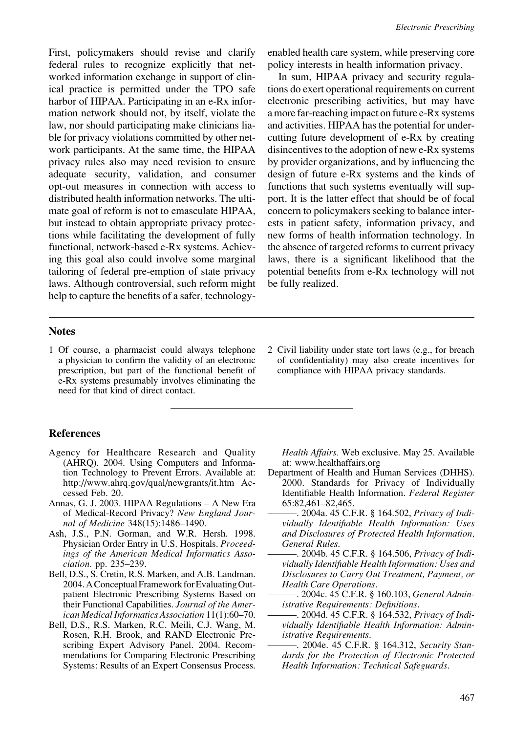First, policymakers should revise and clarify federal rules to recognize explicitly that networked information exchange in support of clinical practice is permitted under the TPO safe harbor of HIPAA. Participating in an e-Rx information network should not, by itself, violate the law, nor should participating make clinicians liable for privacy violations committed by other network participants. At the same time, the HIPAA privacy rules also may need revision to ensure adequate security, validation, and consumer opt-out measures in connection with access to distributed health information networks. The ultimate goal of reform is not to emasculate HIPAA, but instead to obtain appropriate privacy protections while facilitating the development of fully functional, network-based e-Rx systems. Achieving this goal also could involve some marginal tailoring of federal pre-emption of state privacy laws. Although controversial, such reform might help to capture the benefits of a safer, technologyenabled health care system, while preserving core policy interests in health information privacy.

In sum, HIPAA privacy and security regulations do exert operational requirements on current electronic prescribing activities, but may have a more far-reaching impact on future e-Rx systems and activities. HIPAA has the potential for undercutting future development of e-Rx by creating disincentives to the adoption of new e-Rx systems by provider organizations, and by influencing the design of future e-Rx systems and the kinds of functions that such systems eventually will support. It is the latter effect that should be of focal concern to policymakers seeking to balance interests in patient safety, information privacy, and new forms of health information technology. In the absence of targeted reforms to current privacy laws, there is a significant likelihood that the potential benefits from e-Rx technology will not be fully realized.

#### Notes

- 1 Of course, a pharmacist could always telephone a physician to confirm the validity of an electronic prescription, but part of the functional benefit of e-Rx systems presumably involves eliminating the need for that kind of direct contact.
- 2 Civil liability under state tort laws (e.g., for breach of confidentiality) may also create incentives for compliance with HIPAA privacy standards.

#### References

- Agency for Healthcare Research and Quality (AHRQ). 2004. Using Computers and Information Technology to Prevent Errors. Available at: http://www.ahrq.gov/qual/newgrants/it.htm Accessed Feb. 20.
- Annas, G. J. 2003. HIPAA Regulations A New Era of Medical-Record Privacy? New England Journal of Medicine 348(15):1486–1490.
- Ash, J.S., P.N. Gorman, and W.R. Hersh. 1998. Physician Order Entry in U.S. Hospitals. Proceedings of the American Medical Informatics Association. pp. 235–239.
- Bell, D.S., S. Cretin, R.S. Marken, and A.B. Landman. 2004. A Conceptual Framework for Evaluating Outpatient Electronic Prescribing Systems Based on their Functional Capabilities. Journal of the American Medical Informatics Association 11(1):60–70.
- Bell, D.S., R.S. Marken, R.C. Meili, C.J. Wang, M. Rosen, R.H. Brook, and RAND Electronic Prescribing Expert Advisory Panel. 2004. Recommendations for Comparing Electronic Prescribing Systems: Results of an Expert Consensus Process.

Health Affairs. Web exclusive. May 25. Available at: www.healthaffairs.org

- Department of Health and Human Services (DHHS). 2000. Standards for Privacy of Individually Identifiable Health Information. Federal Register 65:82,461–82,465.
- -. 2004a. 45 C.F.R. § 164.502, Privacy of Individually Identifiable Health Information: Uses and Disclosures of Protected Health Information, General Rules.
- . 2004b. 45 C.F.R. § 164.506, *Privacy of Indi*vidually Identifiable Health Information: Uses and Disclosures to Carry Out Treatment, Payment, or Health Care Operations.
- -. 2004c. 45 C.F.R. § 160.103, General Administrative Requirements: Definitions.
- -. 2004d. 45 C.F.R. § 164.532, Privacy of Individually Identifiable Health Information: Administrative Requirements.
- -. 2004e. 45 C.F.R. § 164.312, Security Standards for the Protection of Electronic Protected Health Information: Technical Safeguards.